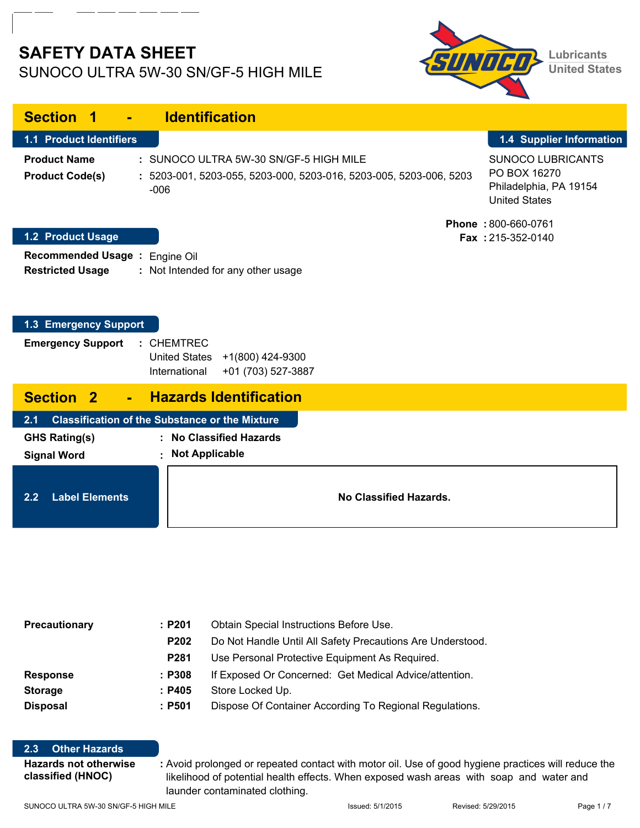# **SAFETY DATA SHEET** SUNOCO ULTRA 5W-30 SN/GF-5 HIGH MILE



| <b>Section 1</b><br>÷.                                    | <b>Identification</b>                                                                                                  |                                                                                            |
|-----------------------------------------------------------|------------------------------------------------------------------------------------------------------------------------|--------------------------------------------------------------------------------------------|
| <b>1.1 Product Identifiers</b>                            |                                                                                                                        | 1.4 Supplier Information                                                                   |
| <b>Product Name</b><br><b>Product Code(s)</b>             | : SUNOCO ULTRA 5W-30 SN/GF-5 HIGH MILE<br>: 5203-001, 5203-055, 5203-000, 5203-016, 5203-005, 5203-006, 5203<br>$-006$ | <b>SUNOCO LUBRICANTS</b><br>PO BOX 16270<br>Philadelphia, PA 19154<br><b>United States</b> |
| <b>1.2 Product Usage</b>                                  |                                                                                                                        | Phone: 800-660-0761<br>Fax: 215-352-0140                                                   |
| Recommended Usage : Engine Oil<br><b>Restricted Usage</b> | : Not Intended for any other usage                                                                                     |                                                                                            |
| 1.3 Emergency Support                                     |                                                                                                                        |                                                                                            |
| <b>Emergency Support</b>                                  | $:$ CHEMTREC<br>United States +1(800) 424-9300<br>International<br>+01 (703) 527-3887                                  |                                                                                            |
| <b>Section 2</b>                                          | <b>Hazards Identification</b>                                                                                          |                                                                                            |
| 2.1                                                       | <b>Classification of the Substance or the Mixture</b>                                                                  |                                                                                            |
| <b>GHS Rating(s)</b><br><b>Signal Word</b>                | <b>No Classified Hazards</b><br><b>Not Applicable</b><br>٠                                                             |                                                                                            |
| <b>Label Elements</b><br>2.2                              | No Classified Hazards.                                                                                                 |                                                                                            |

| Precautionary   | :P201            | Obtain Special Instructions Before Use.                    |  |  |
|-----------------|------------------|------------------------------------------------------------|--|--|
|                 | P <sub>202</sub> | Do Not Handle Until All Safety Precautions Are Understood. |  |  |
|                 | P <sub>281</sub> | Use Personal Protective Equipment As Required.             |  |  |
| <b>Response</b> | : P308           | If Exposed Or Concerned: Get Medical Advice/attention.     |  |  |
| <b>Storage</b>  | :P405            | Store Locked Up.                                           |  |  |
| <b>Disposal</b> | :P501            | Dispose Of Container According To Regional Regulations.    |  |  |

#### **2.3 Other Hazards**

**Hazards not otherwise : classified (HNOC)**

Avoid prolonged or repeated contact with motor oil. Use of good hygiene practices will reduce the likelihood of potential health effects. When exposed wash areas with soap and water and launder contaminated clothing.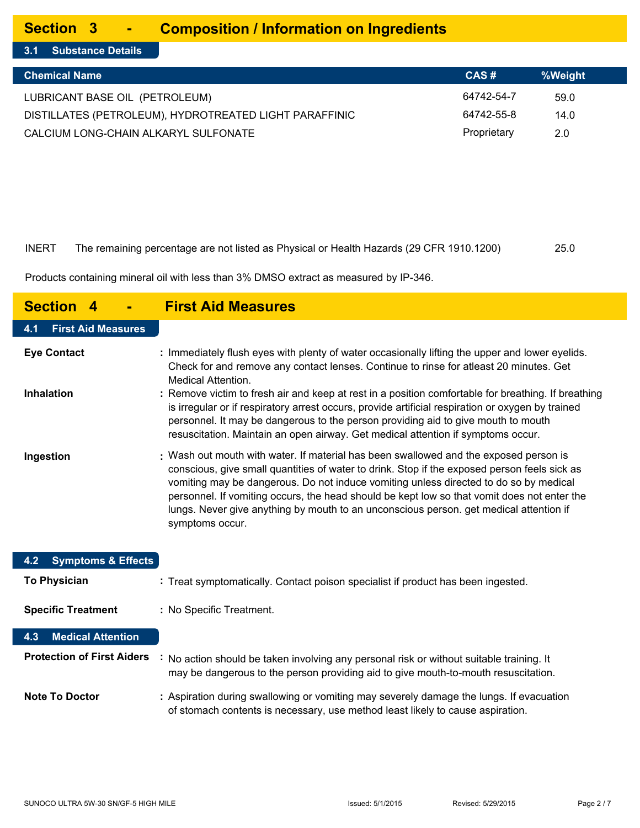#### **Section 3 - Composition / Information on Ingredients**

**3.1 Substance Details**

| <b>Chemical Name</b>                                   | CAS#        | %Weight |
|--------------------------------------------------------|-------------|---------|
| LUBRICANT BASE OIL (PETROLEUM)                         | 64742-54-7  | 59.0    |
| DISTILLATES (PETROLEUM), HYDROTREATED LIGHT PARAFFINIC | 64742-55-8  | 14.0    |
| CALCIUM LONG-CHAIN ALKARYL SULFONATE                   | Proprietary | 2.0     |

### INERT The remaining percentage are not listed as Physical or Health Hazards (29 CFR 1910.1200) 25.0

Products containing mineral oil with less than 3% DMSO extract as measured by IP-346.

| <b>Section 4</b>                                  | <b>First Aid Measures</b>                                                                                                                                                                                                                                                                                                                                                                                                                                                                  |
|---------------------------------------------------|--------------------------------------------------------------------------------------------------------------------------------------------------------------------------------------------------------------------------------------------------------------------------------------------------------------------------------------------------------------------------------------------------------------------------------------------------------------------------------------------|
| <b>First Aid Measures</b><br>4.1                  |                                                                                                                                                                                                                                                                                                                                                                                                                                                                                            |
| <b>Eye Contact</b>                                | : Immediately flush eyes with plenty of water occasionally lifting the upper and lower eyelids.<br>Check for and remove any contact lenses. Continue to rinse for atleast 20 minutes. Get<br><b>Medical Attention.</b>                                                                                                                                                                                                                                                                     |
| <b>Inhalation</b>                                 | : Remove victim to fresh air and keep at rest in a position comfortable for breathing. If breathing<br>is irregular or if respiratory arrest occurs, provide artificial respiration or oxygen by trained<br>personnel. It may be dangerous to the person providing aid to give mouth to mouth<br>resuscitation. Maintain an open airway. Get medical attention if symptoms occur.                                                                                                          |
| Ingestion                                         | : Wash out mouth with water. If material has been swallowed and the exposed person is<br>conscious, give small quantities of water to drink. Stop if the exposed person feels sick as<br>vomiting may be dangerous. Do not induce vomiting unless directed to do so by medical<br>personnel. If vomiting occurs, the head should be kept low so that vomit does not enter the<br>lungs. Never give anything by mouth to an unconscious person. get medical attention if<br>symptoms occur. |
| <b>Symptoms &amp; Effects</b><br>4.2 <sub>2</sub> |                                                                                                                                                                                                                                                                                                                                                                                                                                                                                            |
| <b>To Physician</b>                               | : Treat symptomatically. Contact poison specialist if product has been ingested.                                                                                                                                                                                                                                                                                                                                                                                                           |
| <b>Specific Treatment</b>                         | : No Specific Treatment.                                                                                                                                                                                                                                                                                                                                                                                                                                                                   |
| <b>Medical Attention</b><br>4.3                   |                                                                                                                                                                                                                                                                                                                                                                                                                                                                                            |
| <b>Protection of First Aiders</b>                 | : No action should be taken involving any personal risk or without suitable training. It<br>may be dangerous to the person providing aid to give mouth-to-mouth resuscitation.                                                                                                                                                                                                                                                                                                             |
| <b>Note To Doctor</b>                             | : Aspiration during swallowing or vomiting may severely damage the lungs. If evacuation<br>of stomach contents is necessary, use method least likely to cause aspiration.                                                                                                                                                                                                                                                                                                                  |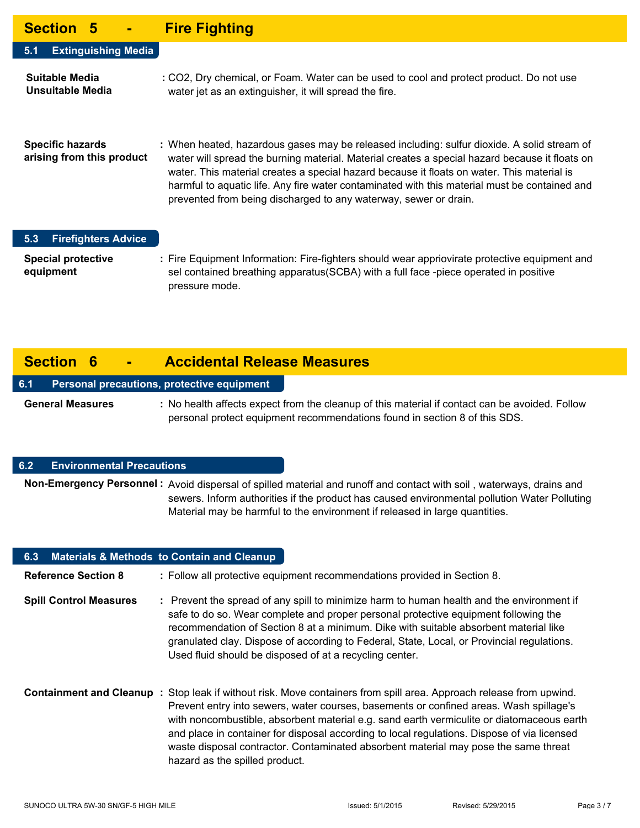### **Section 5 - Fire Fighting**

| -------                                              | <u>i IIV i Iviituin</u>                                                                                                                                                                                                                                                                                                                                                                                                                                          |
|------------------------------------------------------|------------------------------------------------------------------------------------------------------------------------------------------------------------------------------------------------------------------------------------------------------------------------------------------------------------------------------------------------------------------------------------------------------------------------------------------------------------------|
| <b>Extinguishing Media</b><br>5.1                    |                                                                                                                                                                                                                                                                                                                                                                                                                                                                  |
| Suitable Media<br>Unsuitable Media                   | : CO2, Dry chemical, or Foam. Water can be used to cool and protect product. Do not use<br>water jet as an extinguisher, it will spread the fire.                                                                                                                                                                                                                                                                                                                |
| <b>Specific hazards</b><br>arising from this product | : When heated, hazardous gases may be released including: sulfur dioxide. A solid stream of<br>water will spread the burning material. Material creates a special hazard because it floats on<br>water. This material creates a special hazard because it floats on water. This material is<br>harmful to aquatic life. Any fire water contaminated with this material must be contained and<br>prevented from being discharged to any waterway, sewer or drain. |

### **5.3 Firefighters Advice**

**Special protective : equipment** Fire Equipment Information: Fire-fighters should wear appriovirate protective equipment and sel contained breathing apparatus(SCBA) with a full face -piece operated in positive pressure mode.

## **Section 6 - Accidental Release Measures**

#### **6.1 Personal precautions, protective equipment**

**General Measures :** No health affects expect from the cleanup of this material if contact can be avoided. Follow personal protect equipment recommendations found in section 8 of this SDS.

#### **6.2 Environmental Precautions**

Non-Emergency Personnel : Avoid dispersal of spilled material and runoff and contact with soil, waterways, drains and sewers. Inform authorities if the product has caused environmental pollution Water Polluting Material may be harmful to the environment if released in large quantities.

| 6.3 Materials & Methods to Contain and Cleanup |                                                                                                                                                                                                                                                                                                                                                                                                                                                                                                          |
|------------------------------------------------|----------------------------------------------------------------------------------------------------------------------------------------------------------------------------------------------------------------------------------------------------------------------------------------------------------------------------------------------------------------------------------------------------------------------------------------------------------------------------------------------------------|
| <b>Reference Section 8</b>                     | : Follow all protective equipment recommendations provided in Section 8.                                                                                                                                                                                                                                                                                                                                                                                                                                 |
| <b>Spill Control Measures</b>                  | : Prevent the spread of any spill to minimize harm to human health and the environment if<br>safe to do so. Wear complete and proper personal protective equipment following the<br>recommendation of Section 8 at a minimum. Dike with suitable absorbent material like<br>granulated clay. Dispose of according to Federal, State, Local, or Provincial regulations.<br>Used fluid should be disposed of at a recycling center.                                                                        |
| Containment and Cleanup:                       | Stop leak if without risk. Move containers from spill area. Approach release from upwind.<br>Prevent entry into sewers, water courses, basements or confined areas. Wash spillage's<br>with noncombustible, absorbent material e.g. sand earth vermiculite or diatomaceous earth<br>and place in container for disposal according to local regulations. Dispose of via licensed<br>waste disposal contractor. Contaminated absorbent material may pose the same threat<br>hazard as the spilled product. |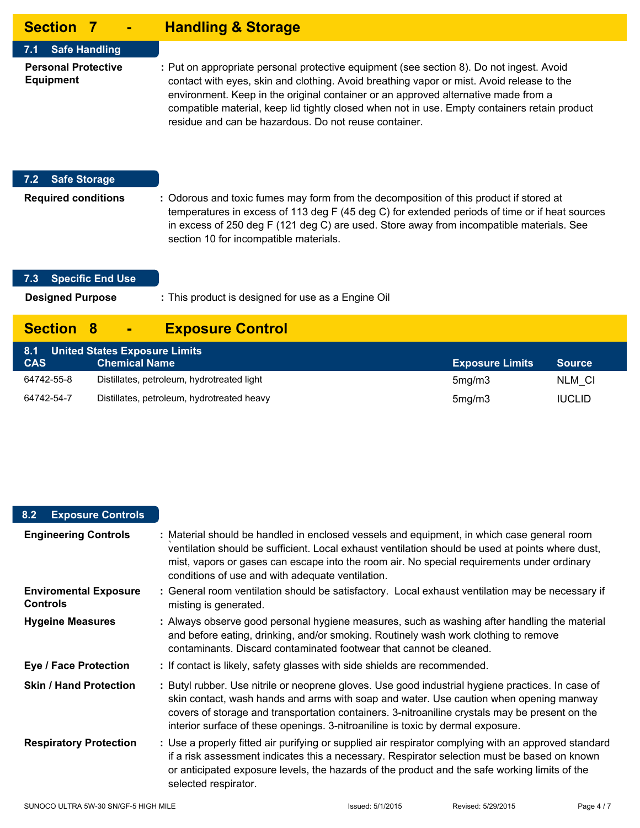| <b>Section 7</b><br>Alby                       | <b>Handling &amp; Storage</b>                                                                                                                                                                                                                                                                                                                                                                                                         |
|------------------------------------------------|---------------------------------------------------------------------------------------------------------------------------------------------------------------------------------------------------------------------------------------------------------------------------------------------------------------------------------------------------------------------------------------------------------------------------------------|
| <b>Safe Handling</b><br>7.1                    |                                                                                                                                                                                                                                                                                                                                                                                                                                       |
| <b>Personal Protective</b><br><b>Equipment</b> | : Put on appropriate personal protective equipment (see section 8). Do not ingest. Avoid<br>contact with eyes, skin and clothing. Avoid breathing vapor or mist. Avoid release to the<br>environment. Keep in the original container or an approved alternative made from a<br>compatible material, keep lid tightly closed when not in use. Empty containers retain product<br>residue and can be hazardous. Do not reuse container. |
| <b>Safe Storage</b><br>7.2                     |                                                                                                                                                                                                                                                                                                                                                                                                                                       |
| <b>Required conditions</b>                     | : Odorous and toxic fumes may form from the decomposition of this product if stored at<br>temperatures in excess of 113 deg F (45 deg C) for extended periods of time or if heat sources<br>in excess of 250 deg F (121 deg C) are used. Store away from incompatible materials. See<br>section 10 for incompatible materials.                                                                                                        |

### **7.3 Specific End Use**

This product is designed for use as a Engine Oil **Designed Purpose :**

# **Section 8 - Exposure Control**

| 8.1 United States Exposure Limits |                                            |                        |               |  |
|-----------------------------------|--------------------------------------------|------------------------|---------------|--|
| <b>CAS</b>                        | <b>Chemical Name</b>                       | <b>Exposure Limits</b> | <b>Source</b> |  |
| 64742-55-8                        | Distillates, petroleum, hydrotreated light | 5mg/m3                 | NLM CI        |  |
| 64742-54-7                        | Distillates, petroleum, hydrotreated heavy | 5mg/m3                 | <b>IUCLID</b> |  |

### **8.2 Exposure Controls**

| <b>Engineering Controls</b>                     | : Material should be handled in enclosed vessels and equipment, in which case general room<br>ventilation should be sufficient. Local exhaust ventilation should be used at points where dust,<br>mist, vapors or gases can escape into the room air. No special requirements under ordinary<br>conditions of use and with adequate ventilation.                                 |
|-------------------------------------------------|----------------------------------------------------------------------------------------------------------------------------------------------------------------------------------------------------------------------------------------------------------------------------------------------------------------------------------------------------------------------------------|
| <b>Enviromental Exposure</b><br><b>Controls</b> | : General room ventilation should be satisfactory. Local exhaust ventilation may be necessary if<br>misting is generated.                                                                                                                                                                                                                                                        |
| <b>Hygeine Measures</b>                         | : Always observe good personal hygiene measures, such as washing after handling the material<br>and before eating, drinking, and/or smoking. Routinely wash work clothing to remove<br>contaminants. Discard contaminated footwear that cannot be cleaned.                                                                                                                       |
| <b>Eye / Face Protection</b>                    | : If contact is likely, safety glasses with side shields are recommended.                                                                                                                                                                                                                                                                                                        |
| <b>Skin / Hand Protection</b>                   | : Butyl rubber. Use nitrile or neoprene gloves. Use good industrial hygiene practices. In case of<br>skin contact, wash hands and arms with soap and water. Use caution when opening manway<br>covers of storage and transportation containers. 3-nitroaniline crystals may be present on the<br>interior surface of these openings. 3-nitroaniline is toxic by dermal exposure. |
| <b>Respiratory Protection</b>                   | : Use a properly fitted air purifying or supplied air respirator complying with an approved standard<br>if a risk assessment indicates this a necessary. Respirator selection must be based on known<br>or anticipated exposure levels, the hazards of the product and the safe working limits of the<br>selected respirator.                                                    |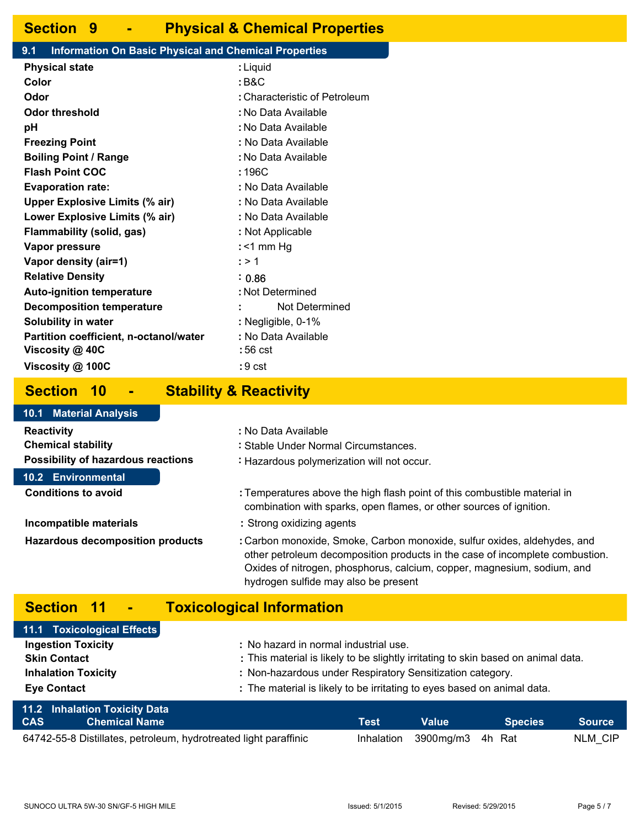### **Section 9 - Physical & Chemical Properties**

#### **9.1 Information On Basic Physical and Chemical Properties**

| <b>Physical state</b>                                         | : Liquid                      |  |  |
|---------------------------------------------------------------|-------------------------------|--|--|
| Color                                                         | : B&C                         |  |  |
| Odor                                                          | : Characteristic of Petroleum |  |  |
| <b>Odor threshold</b>                                         | : No Data Available           |  |  |
| рH                                                            | : No Data Available           |  |  |
| <b>Freezing Point</b>                                         | : No Data Available           |  |  |
| <b>Boiling Point / Range</b>                                  | : No Data Available           |  |  |
| <b>Flash Point COC</b>                                        | : 196C                        |  |  |
| : No Data Available<br><b>Evaporation rate:</b>               |                               |  |  |
| <b>Upper Explosive Limits (% air)</b>                         | : No Data Available           |  |  |
| Lower Explosive Limits (% air)                                | : No Data Available           |  |  |
| Flammability (solid, gas)<br>: Not Applicable                 |                               |  |  |
| Vapor pressure                                                | : $<$ 1 mm Hg                 |  |  |
| Vapor density (air=1)                                         | : > 1                         |  |  |
| <b>Relative Density</b>                                       | : 0.86                        |  |  |
| <b>Auto-ignition temperature</b>                              | : Not Determined              |  |  |
| <b>Decomposition temperature</b>                              | Not Determined                |  |  |
| <b>Solubility in water</b>                                    | : Negligible, 0-1%            |  |  |
| : No Data Available<br>Partition coefficient, n-octanol/water |                               |  |  |
| Viscosity @ 40C                                               | :56 cst                       |  |  |
| Viscosity @ 100C                                              | :9 cst                        |  |  |
|                                                               |                               |  |  |

### **Section 10 - Stability & Reactivity**

#### **Reactivity : Chemical stability : Possibility of hazardous reactions :** : No Data Available Stable Under Normal Circumstances. : Hazardous polymerization will not occur. Temperatures above the high flash point of this combustible material in combination with sparks, open flames, or other sources of ignition. **Incompatible materials : Hazardous decomposition products :** Strong oxidizing agents Carbon monoxide, Smoke, Carbon monoxide, sulfur oxides, aldehydes, and other petroleum decomposition products in the case of incomplete combustion. Oxides of nitrogen, phosphorus, calcium, copper, magnesium, sodium, and hydrogen sulfide may also be present **Conditions to avoid : 10.1 Material Analysis 10.2 Environmental**

## **Section 11 - Toxicological Information**

| 11.1 Toxicological Effects                                                                                                                                               |                                                                                   |  |  |  |
|--------------------------------------------------------------------------------------------------------------------------------------------------------------------------|-----------------------------------------------------------------------------------|--|--|--|
| <b>Ingestion Toxicity</b>                                                                                                                                                | : No hazard in normal industrial use.                                             |  |  |  |
| <b>Skin Contact</b>                                                                                                                                                      | : This material is likely to be slightly irritating to skin based on animal data. |  |  |  |
| <b>Inhalation Toxicity</b>                                                                                                                                               | : Non-hazardous under Respiratory Sensitization category.                         |  |  |  |
| <b>Eye Contact</b>                                                                                                                                                       | : The material is likely to be irritating to eyes based on animal data.           |  |  |  |
| <b>11.2 Inhalation Toxicity Data</b><br>_______<br><u>and the second second and the second second in the second second in the second second in the second second in </u> |                                                                                   |  |  |  |

| <b>CAS</b> | Chemical Name                                                    | Test | <b>Value</b>                | Species | ● Source \ |
|------------|------------------------------------------------------------------|------|-----------------------------|---------|------------|
|            | 64742-55-8 Distillates, petroleum, hydrotreated light paraffinic |      | Inhalation 3900mg/m3 4h Rat |         | NLM CIP    |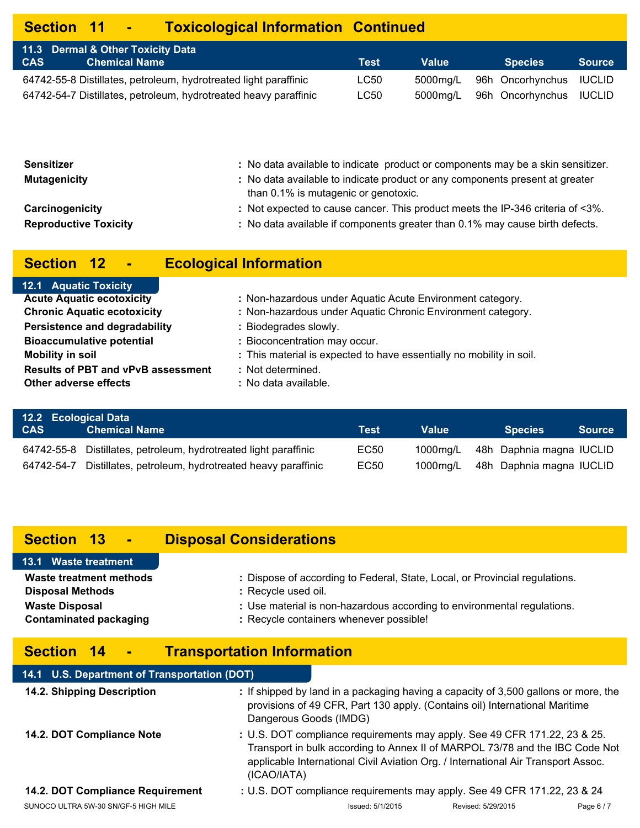# **Section 11 - Toxicological Information Continued**

| 11.3 Dermal & Other Toxicity Data<br><b>CAS</b><br>l Chemical Name | Test | Value    | <b>Species</b>                   | <b>Source</b> |
|--------------------------------------------------------------------|------|----------|----------------------------------|---------------|
| 64742-55-8 Distillates, petroleum, hydrotreated light paraffinic   | LC50 | 5000ma/L | 96h Oncorhynchus IUCLID          |               |
| 64742-54-7 Distillates, petroleum, hydrotreated heavy paraffinic   | LC50 |          | 5000mg/L 96h Oncorhynchus IUCLID |               |

| Sensitizer<br><b>Mutagenicity</b> | : No data available to indicate product or components may be a skin sensitizer.<br>: No data available to indicate product or any components present at greater<br>than 0.1% is mutagenic or genotoxic. |
|-----------------------------------|---------------------------------------------------------------------------------------------------------------------------------------------------------------------------------------------------------|
| Carcinogenicity                   | : Not expected to cause cancer. This product meets the IP-346 criteria of <3%.                                                                                                                          |
| <b>Reproductive Toxicity</b>      | : No data available if components greater than 0.1% may cause birth defects.                                                                                                                            |
|                                   |                                                                                                                                                                                                         |

# **Section 12 - Ecological Information**

| 12.1 Aquatic Toxicity                     |                                                                      |
|-------------------------------------------|----------------------------------------------------------------------|
| <b>Acute Aquatic ecotoxicity</b>          | : Non-hazardous under Aquatic Acute Environment category.            |
| <b>Chronic Aquatic ecotoxicity</b>        | : Non-hazardous under Aquatic Chronic Environment category.          |
| Persistence and degradability             | : Biodegrades slowly.                                                |
| <b>Bioaccumulative potential</b>          | : Bioconcentration may occur.                                        |
| <b>Mobility in soil</b>                   | : This material is expected to have essentially no mobility in soil. |
| <b>Results of PBT and vPvB assessment</b> | : Not determined.                                                    |
| Other adverse effects                     | : No data available.                                                 |
|                                           |                                                                      |

| 12.2 Ecological Data |                                                                  |      |       |                                   |  |
|----------------------|------------------------------------------------------------------|------|-------|-----------------------------------|--|
| <b>CAS</b>           | <b>Chemical Name</b>                                             | Test | Value | <b>Species</b><br><b>Source</b>   |  |
|                      | 64742-55-8 Distillates, petroleum, hydrotreated light paraffinic | EC50 |       | 1000mg/L 48h Daphnia magna IUCLID |  |
| 64742-54-7           | Distillates, petroleum, hydrotreated heavy paraffinic            | EC50 |       | 1000mg/L 48h Daphnia magna IUCLID |  |

# **Section 13 - Disposal Considerations**

| 13.1 Waste treatment          |                                                                             |
|-------------------------------|-----------------------------------------------------------------------------|
| Waste treatment methods       | : Dispose of according to Federal, State, Local, or Provincial regulations. |
| <b>Disposal Methods</b>       | : Recycle used oil.                                                         |
| <b>Waste Disposal</b>         | : Use material is non-hazardous according to environmental regulations.     |
| <b>Contaminated packaging</b> | : Recycle containers whenever possible!                                     |

# **Section 14 - Transportation Information**

| 14.1 U.S. Department of Transportation (DOT) |                        |                                                                                                                                                                                                                                                |                    |          |
|----------------------------------------------|------------------------|------------------------------------------------------------------------------------------------------------------------------------------------------------------------------------------------------------------------------------------------|--------------------|----------|
| 14.2. Shipping Description                   | Dangerous Goods (IMDG) | : If shipped by land in a packaging having a capacity of 3,500 gallons or more, the<br>provisions of 49 CFR, Part 130 apply. (Contains oil) International Maritime                                                                             |                    |          |
| 14.2. DOT Compliance Note                    | (ICAO/IATA)            | : U.S. DOT compliance requirements may apply. See 49 CFR 171.22, 23 & 25.<br>Transport in bulk according to Annex II of MARPOL 73/78 and the IBC Code Not<br>applicable International Civil Aviation Org. / International Air Transport Assoc. |                    |          |
| 14.2. DOT Compliance Requirement             |                        | : U.S. DOT compliance requirements may apply. See 49 CFR 171.22, 23 & 24                                                                                                                                                                       |                    |          |
| SUNOCO ULTRA 5W-30 SN/GF-5 HIGH MILE         |                        | Issued: 5/1/2015                                                                                                                                                                                                                               | Revised: 5/29/2015 | Page 6/7 |